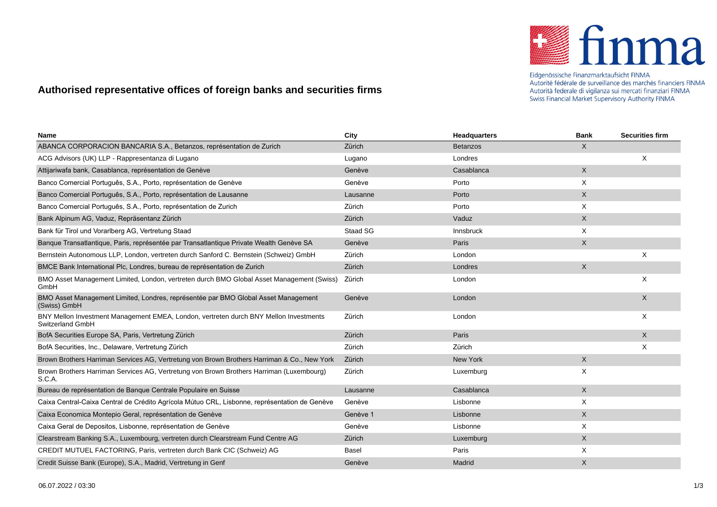

Eidgenössische Finanzmarktaufsicht FINMA Autorité fédérale de surveillance des marchés financiers FINMA Autorità federale di vigilanza sui mercati finanziari FINMA Swiss Financial Market Supervisory Authority FINMA

## **Authorised representative offices of foreign banks and securities firms**

| Name                                                                                                      | City            | <b>Headquarters</b> | <b>Bank</b>  | <b>Securities firm</b> |
|-----------------------------------------------------------------------------------------------------------|-----------------|---------------------|--------------|------------------------|
| ABANCA CORPORACION BANCARIA S.A., Betanzos, représentation de Zurich                                      | Zürich          | <b>Betanzos</b>     | X            |                        |
| ACG Advisors (UK) LLP - Rappresentanza di Lugano                                                          | Lugano          | Londres             |              | X                      |
| Attijariwafa bank, Casablanca, représentation de Genève                                                   | Genève          | Casablanca          | X            |                        |
| Banco Comercial Português, S.A., Porto, représentation de Genève                                          | Genève          | Porto               | X            |                        |
| Banco Comercial Português, S.A., Porto, représentation de Lausanne                                        | Lausanne        | Porto               | X            |                        |
| Banco Comercial Português, S.A., Porto, représentation de Zurich                                          | Zürich          | Porto               | X            |                        |
| Bank Alpinum AG, Vaduz, Repräsentanz Zürich                                                               | Zürich          | Vaduz               | X            |                        |
| Bank für Tirol und Vorarlberg AG, Vertretung Staad                                                        | <b>Staad SG</b> | <b>Innsbruck</b>    | X            |                        |
| Banque Transatlantique, Paris, représentée par Transatlantique Private Wealth Genève SA                   | Genève          | Paris               | X            |                        |
| Bernstein Autonomous LLP, London, vertreten durch Sanford C. Bernstein (Schweiz) GmbH                     | Zürich          | London              |              | Х                      |
| BMCE Bank International Plc, Londres, bureau de représentation de Zurich                                  | Zürich          | Londres             | $\mathsf{X}$ |                        |
| BMO Asset Management Limited, London, vertreten durch BMO Global Asset Management (Swiss)<br>GmbH         | Zürich          | London              |              | X                      |
| BMO Asset Management Limited, Londres, représentée par BMO Global Asset Management<br>(Swiss) GmbH        | Genève          | London              |              | X                      |
| BNY Mellon Investment Management EMEA, London, vertreten durch BNY Mellon Investments<br>Switzerland GmbH | Zürich          | London              |              | X                      |
| BofA Securities Europe SA, Paris, Vertretung Zürich                                                       | Zürich          | Paris               |              | X                      |
| BofA Securities, Inc., Delaware, Vertretung Zürich                                                        | Zürich          | Zürich              |              | X                      |
| Brown Brothers Harriman Services AG, Vertretung von Brown Brothers Harriman & Co., New York               | Zürich          | New York            | X            |                        |
| Brown Brothers Harriman Services AG, Vertretung von Brown Brothers Harriman (Luxembourg)<br>S.C.A.        | Zürich          | Luxemburg           | X            |                        |
| Bureau de représentation de Banque Centrale Populaire en Suisse                                           | Lausanne        | Casablanca          | X            |                        |
| Caixa Central-Caixa Central de Crédito Agrícola Mútuo CRL, Lisbonne, représentation de Genève             | Genève          | Lisbonne            | X            |                        |
| Caixa Economica Montepio Geral, représentation de Genève                                                  | Genève 1        | Lisbonne            | X            |                        |
| Caixa Geral de Depositos, Lisbonne, représentation de Genève                                              | Genève          | Lisbonne            | X            |                        |
| Clearstream Banking S.A., Luxembourg, vertreten durch Clearstream Fund Centre AG                          | Zürich          | Luxemburg           | X            |                        |
| CREDIT MUTUEL FACTORING, Paris, vertreten durch Bank CIC (Schweiz) AG                                     | Basel           | Paris               | X            |                        |
| Credit Suisse Bank (Europe), S.A., Madrid, Vertretung in Genf                                             | Genève          | Madrid              | X            |                        |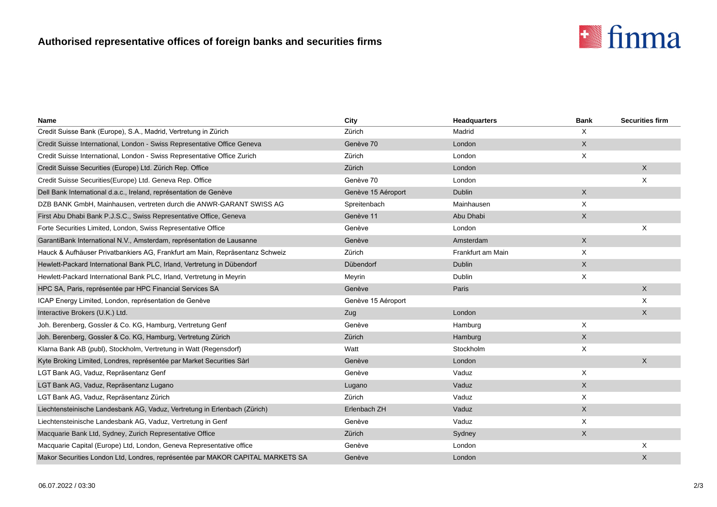## **Authorised representative offices of foreign banks and securities firms**



| Name                                                                           | City               | <b>Headquarters</b> | <b>Bank</b> | <b>Securities firm</b> |
|--------------------------------------------------------------------------------|--------------------|---------------------|-------------|------------------------|
| Credit Suisse Bank (Europe), S.A., Madrid, Vertretung in Zürich                | Zürich             | Madrid              | Χ           |                        |
| Credit Suisse International, London - Swiss Representative Office Geneva       | Genève 70          | London              | $\mathsf X$ |                        |
| Credit Suisse International, London - Swiss Representative Office Zurich       | Zürich             | London              | X           |                        |
| Credit Suisse Securities (Europe) Ltd. Zürich Rep. Office                      | Zürich             | London              |             | X                      |
| Credit Suisse Securities (Europe) Ltd. Geneva Rep. Office                      | Genève 70          | London              |             | X                      |
| Dell Bank International d.a.c., Ireland, représentation de Genève              | Genève 15 Aéroport | <b>Dublin</b>       | X           |                        |
| DZB BANK GmbH, Mainhausen, vertreten durch die ANWR-GARANT SWISS AG            | Spreitenbach       | Mainhausen          | X           |                        |
| First Abu Dhabi Bank P.J.S.C., Swiss Representative Office, Geneva             | Genève 11          | Abu Dhabi           | X           |                        |
| Forte Securities Limited, London, Swiss Representative Office                  | Genève             | London              |             | X                      |
| GarantiBank International N.V., Amsterdam, représentation de Lausanne          | Genève             | Amsterdam           | $\mathsf X$ |                        |
| Hauck & Aufhäuser Privatbankiers AG, Frankfurt am Main, Repräsentanz Schweiz   | Zürich             | Frankfurt am Main   | X           |                        |
| Hewlett-Packard International Bank PLC, Irland, Vertretung in Dübendorf        | Dübendorf          | Dublin              | X           |                        |
| Hewlett-Packard International Bank PLC, Irland, Vertretung in Meyrin           | Meyrin             | Dublin              | X           |                        |
| HPC SA, Paris, représentée par HPC Financial Services SA                       | Genève             | Paris               |             | X                      |
| ICAP Energy Limited, London, représentation de Genève                          | Genève 15 Aéroport |                     |             | X                      |
| Interactive Brokers (U.K.) Ltd.                                                | Zug                | London              |             | X                      |
| Joh. Berenberg, Gossler & Co. KG, Hamburg, Vertretung Genf                     | Genève             | Hamburg             | Χ           |                        |
| Joh. Berenberg, Gossler & Co. KG, Hamburg, Vertretung Zürich                   | Zürich             | Hamburg             | $\mathsf X$ |                        |
| Klarna Bank AB (publ), Stockholm, Vertretung in Watt (Regensdorf)              | Watt               | Stockholm           | Χ           |                        |
| Kyte Broking Limited, Londres, représentée par Market Securities Sàrl          | Genève             | London              |             | X                      |
| LGT Bank AG, Vaduz, Repräsentanz Genf                                          | Genève             | Vaduz               | X           |                        |
| LGT Bank AG, Vaduz, Repräsentanz Lugano                                        | Lugano             | Vaduz               | X           |                        |
| LGT Bank AG, Vaduz, Repräsentanz Zürich                                        | Zürich             | Vaduz               | X           |                        |
| Liechtensteinische Landesbank AG, Vaduz, Vertretung in Erlenbach (Zürich)      | Erlenbach ZH       | Vaduz               | X           |                        |
| Liechtensteinische Landesbank AG, Vaduz, Vertretung in Genf                    | Genève             | Vaduz               | X           |                        |
| Macquarie Bank Ltd, Sydney, Zurich Representative Office                       | Zürich             | Sydney              | $\mathsf X$ |                        |
| Macquarie Capital (Europe) Ltd, London, Geneva Representative office           | Genève             | London              |             | X                      |
| Makor Securities London Ltd, Londres, représentée par MAKOR CAPITAL MARKETS SA | Genève             | London              |             | X                      |